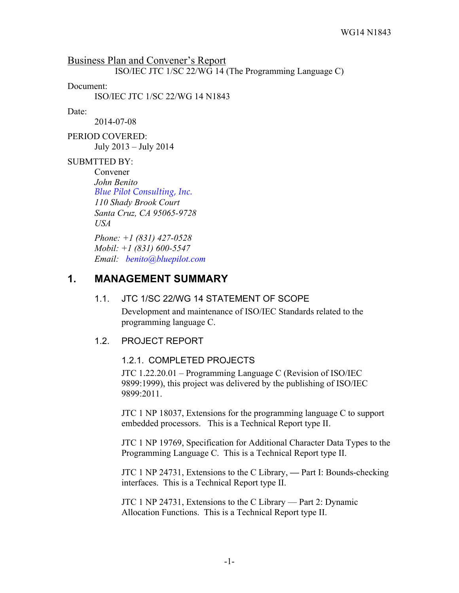Business Plan and Convener's Report ISO/IEC JTC 1/SC 22/WG 14 (The Programming Language C)

Document:

ISO/IEC JTC 1/SC 22/WG 14 N1843

Date:

2014-07-08

PERIOD COVERED: July 2013 – July 2014

#### SUBMTTED BY:

Convener *John Benito Blue Pilot Consulting, Inc. 110 Shady Brook Court Santa Cruz, CA 95065-9728 USA*

*Phone: +1 (831) 427-0528 Mobil: +1 (831) 600-5547 Email: benito@bluepilot.com*

## **1. MANAGEMENT SUMMARY**

#### 1.1. JTC 1/SC 22/WG 14 STATEMENT OF SCOPE

Development and maintenance of ISO/IEC Standards related to the programming language C.

#### 1.2. PROJECT REPORT

#### 1.2.1. COMPLETED PROJECTS

JTC 1.22.20.01 – Programming Language C (Revision of ISO/IEC 9899:1999), this project was delivered by the publishing of ISO/IEC 9899:2011.

JTC 1 NP 18037, Extensions for the programming language C to support embedded processors. This is a Technical Report type II.

JTC 1 NP 19769, Specification for Additional Character Data Types to the Programming Language C. This is a Technical Report type II.

JTC 1 NP 24731, Extensions to the C Library, **—** Part I: Bounds-checking interfaces. This is a Technical Report type II.

JTC 1 NP 24731, Extensions to the C Library — Part 2: Dynamic Allocation Functions. This is a Technical Report type II.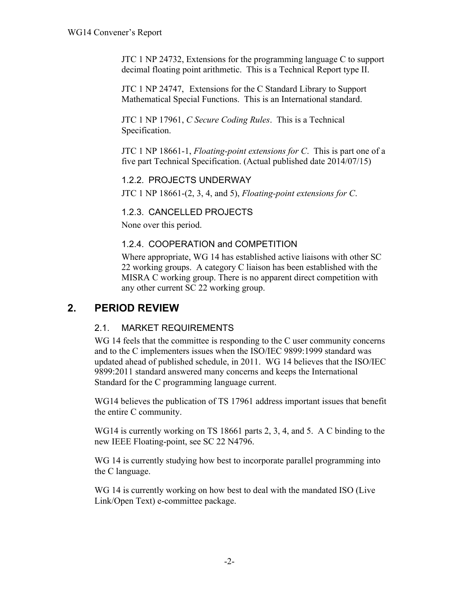JTC 1 NP 24732, Extensions for the programming language C to support decimal floating point arithmetic. This is a Technical Report type II.

JTC 1 NP 24747, Extensions for the C Standard Library to Support Mathematical Special Functions. This is an International standard.

JTC 1 NP 17961, *C Secure Coding Rules*. This is a Technical Specification.

JTC 1 NP 18661-1, *Floating-point extensions for C*. This is part one of a five part Technical Specification. (Actual published date 2014/07/15)

#### 1.2.2. PROJECTS UNDERWAY

JTC 1 NP 18661-(2, 3, 4, and 5), *Floating-point extensions for C*.

#### 1.2.3. CANCELLED PROJECTS

None over this period.

#### 1.2.4. COOPERATION and COMPETITION

Where appropriate, WG 14 has established active liaisons with other SC 22 working groups. A category C liaison has been established with the MISRA C working group. There is no apparent direct competition with any other current SC 22 working group.

# **2. PERIOD REVIEW**

## 2.1. MARKET REQUIREMENTS

WG 14 feels that the committee is responding to the C user community concerns and to the C implementers issues when the ISO/IEC 9899:1999 standard was updated ahead of published schedule, in 2011. WG 14 believes that the ISO/IEC 9899:2011 standard answered many concerns and keeps the International Standard for the C programming language current.

WG14 believes the publication of TS 17961 address important issues that benefit the entire C community.

WG14 is currently working on TS 18661 parts 2, 3, 4, and 5. A C binding to the new IEEE Floating-point, see SC 22 N4796.

WG 14 is currently studying how best to incorporate parallel programming into the C language.

WG 14 is currently working on how best to deal with the mandated ISO (Live Link/Open Text) e-committee package.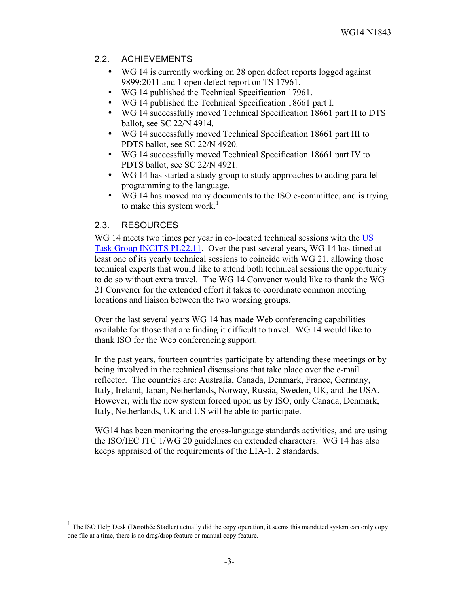### 2.2. ACHIEVEMENTS

- WG 14 is currently working on 28 open defect reports logged against 9899:2011 and 1 open defect report on TS 17961.
- WG 14 published the Technical Specification 17961.
- WG 14 published the Technical Specification 18661 part I.
- WG 14 successfully moved Technical Specification 18661 part II to DTS ballot, see SC 22/N 4914.
- WG 14 successfully moved Technical Specification 18661 part III to PDTS ballot, see SC 22/N 4920.
- WG 14 successfully moved Technical Specification 18661 part IV to PDTS ballot, see SC 22/N 4921.
- WG 14 has started a study group to study approaches to adding parallel programming to the language.
- WG 14 has moved many documents to the ISO e-committee, and is trying to make this system work.<sup>1</sup>

## 2.3. RESOURCES

WG 14 meets two times per year in co-located technical sessions with the US Task Group INCITS PL22.11. Over the past several years, WG 14 has timed at least one of its yearly technical sessions to coincide with WG 21, allowing those technical experts that would like to attend both technical sessions the opportunity to do so without extra travel. The WG 14 Convener would like to thank the WG 21 Convener for the extended effort it takes to coordinate common meeting locations and liaison between the two working groups.

Over the last several years WG 14 has made Web conferencing capabilities available for those that are finding it difficult to travel. WG 14 would like to thank ISO for the Web conferencing support.

In the past years, fourteen countries participate by attending these meetings or by being involved in the technical discussions that take place over the e-mail reflector. The countries are: Australia, Canada, Denmark, France, Germany, Italy, Ireland, Japan, Netherlands, Norway, Russia, Sweden, UK, and the USA. However, with the new system forced upon us by ISO, only Canada, Denmark, Italy, Netherlands, UK and US will be able to participate.

WG14 has been monitoring the cross-language standards activities, and are using the ISO/IEC JTC 1/WG 20 guidelines on extended characters. WG 14 has also keeps appraised of the requirements of the LIA-1, 2 standards.

 <sup>1</sup> The ISO Help Desk (Dorothée Stadler) actually did the copy operation, it seems this mandated system can only copy one file at a time, there is no drag/drop feature or manual copy feature.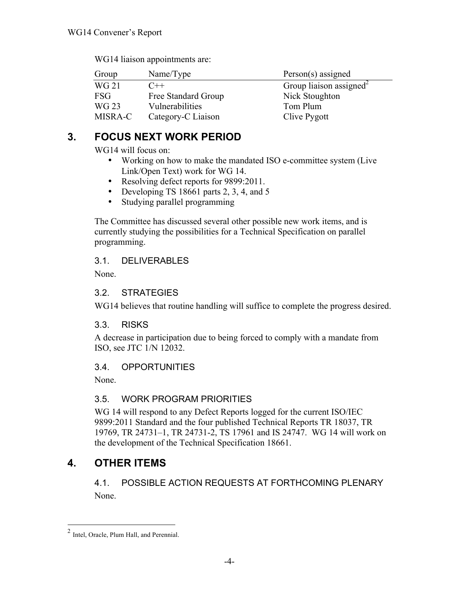| Group        | Name/Type           | $Person(s)$ assigned                |
|--------------|---------------------|-------------------------------------|
| <b>WG 21</b> | $C++$               | Group liaison assigned <sup>2</sup> |
| <b>FSG</b>   | Free Standard Group | Nick Stoughton                      |
| WG 23        | Vulnerabilities     | Tom Plum                            |
| MISRA-C      | Category-C Liaison  | Clive Pygott                        |

WG14 liaison appointments are:

# **3. FOCUS NEXT WORK PERIOD**

WG14 will focus on:

- Working on how to make the mandated ISO e-committee system (Live Link/Open Text) work for WG 14.
- Resolving defect reports for 9899:2011.
- Developing TS 18661 parts 2, 3, 4, and 5
- Studying parallel programming

The Committee has discussed several other possible new work items, and is currently studying the possibilities for a Technical Specification on parallel programming.

## 3.1. DELIVERABLES

None.

## 3.2. STRATEGIES

WG14 believes that routine handling will suffice to complete the progress desired.

## 3.3. RISKS

A decrease in participation due to being forced to comply with a mandate from ISO, see JTC 1/N 12032.

## 3.4. OPPORTUNITIES

None.

## 3.5. WORK PROGRAM PRIORITIES

WG 14 will respond to any Defect Reports logged for the current ISO/IEC 9899:2011 Standard and the four published Technical Reports TR 18037, TR 19769, TR 24731–1, TR 24731-2, TS 17961 and IS 24747. WG 14 will work on the development of the Technical Specification 18661.

# **4. OTHER ITEMS**

## 4.1. POSSIBLE ACTION REQUESTS AT FORTHCOMING PLENARY None.

 <sup>2</sup> Intel, Oracle, Plum Hall, and Perennial.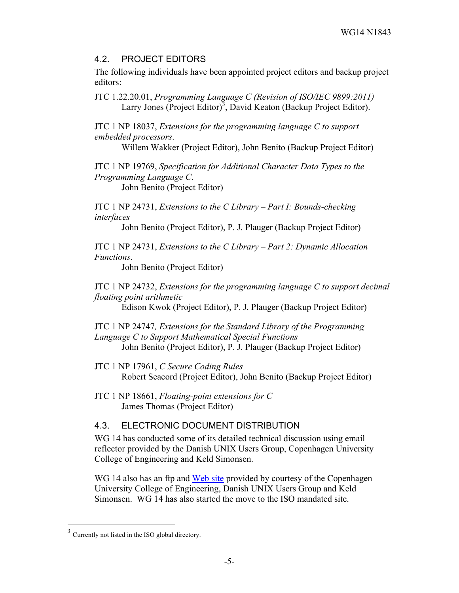#### 4.2. PROJECT EDITORS

The following individuals have been appointed project editors and backup project editors:

JTC 1.22.20.01, *Programming Language C (Revision of ISO/IEC 9899:2011)* Larry Jones (Project Editor)<sup>3</sup>, David Keaton (Backup Project Editor).

JTC 1 NP 18037, *Extensions for the programming language C to support embedded processors*.

Willem Wakker (Project Editor), John Benito (Backup Project Editor)

JTC 1 NP 19769, *Specification for Additional Character Data Types to the Programming Language C*.

John Benito (Project Editor)

JTC 1 NP 24731, *Extensions to the C Library – Part I: Bounds-checking interfaces*

John Benito (Project Editor), P. J. Plauger (Backup Project Editor)

JTC 1 NP 24731, *Extensions to the C Library – Part 2: Dynamic Allocation Functions*.

John Benito (Project Editor)

JTC 1 NP 24732, *Extensions for the programming language C to support decimal floating point arithmetic*

Edison Kwok (Project Editor), P. J. Plauger (Backup Project Editor)

JTC 1 NP 24747*, Extensions for the Standard Library of the Programming Language C to Support Mathematical Special Functions* John Benito (Project Editor), P. J. Plauger (Backup Project Editor)

JTC 1 NP 17961, *C Secure Coding Rules* Robert Seacord (Project Editor), John Benito (Backup Project Editor)

## 4.3. ELECTRONIC DOCUMENT DISTRIBUTION

WG 14 has conducted some of its detailed technical discussion using email reflector provided by the Danish UNIX Users Group, Copenhagen University College of Engineering and Keld Simonsen.

WG 14 also has an ftp and Web site provided by courtesy of the Copenhagen University College of Engineering, Danish UNIX Users Group and Keld Simonsen. WG 14 has also started the move to the ISO mandated site.

JTC 1 NP 18661, *Floating-point extensions for C* James Thomas (Project Editor)

 <sup>3</sup> Currently not listed in the ISO global directory.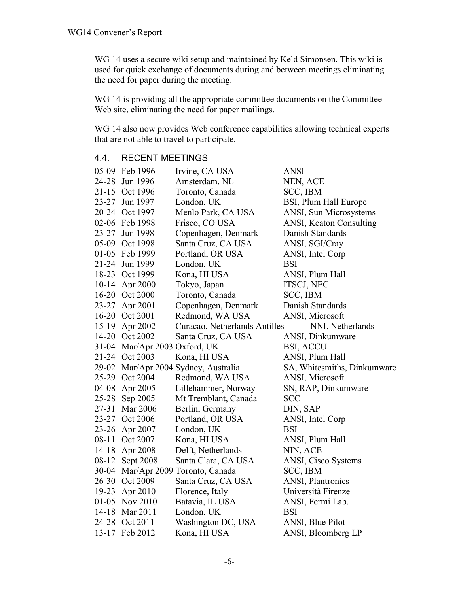WG 14 uses a secure wiki setup and maintained by Keld Simonsen. This wiki is used for quick exchange of documents during and between meetings eliminating the need for paper during the meeting.

WG 14 is providing all the appropriate committee documents on the Committee Web site, eliminating the need for paper mailings.

WG 14 also now provides Web conference capabilities allowing technical experts that are not able to travel to participate.

|           | 05-09 Feb 1996                | Irvine, CA USA                 | <b>ANSI</b>                 |
|-----------|-------------------------------|--------------------------------|-----------------------------|
| 24-28     | Jun 1996                      | Amsterdam, NL                  | NEN, ACE                    |
|           | 21-15 Oct 1996                | Toronto, Canada                | SCC, IBM                    |
|           | 23-27 Jun 1997                | London, UK                     | BSI, Plum Hall Europe       |
|           | 20-24 Oct 1997                | Menlo Park, CA USA             | ANSI, Sun Microsystems      |
|           | 02-06 Feb 1998                | Frisco, CO USA                 | ANSI, Keaton Consulting     |
|           | 23-27 Jun 1998                | Copenhagen, Denmark            | Danish Standards            |
|           | 05-09 Oct 1998                | Santa Cruz, CA USA             | ANSI, SGI/Cray              |
|           | 01-05 Feb 1999                | Portland, OR USA               | ANSI, Intel Corp            |
| $21 - 24$ | Jun 1999                      | London, UK                     | <b>BSI</b>                  |
|           | 18-23 Oct 1999                | Kona, HI USA                   | ANSI, Plum Hall             |
| $10 - 14$ | Apr 2000                      | Tokyo, Japan                   | <b>ITSCJ, NEC</b>           |
|           | 16-20 Oct 2000                | Toronto, Canada                | SCC, IBM                    |
|           | 23-27 Apr 2001                | Copenhagen, Denmark            | Danish Standards            |
|           | 16-20 Oct 2001                | Redmond, WA USA                | ANSI, Microsoft             |
|           | 15-19 Apr 2002                | Curacao, Netherlands Antilles  | NNI, Netherlands            |
|           | 14-20 Oct 2002                | Santa Cruz, CA USA             | ANSI, Dinkumware            |
|           | 31-04 Mar/Apr 2003 Oxford, UK |                                | <b>BSI, ACCU</b>            |
|           | 21-24 Oct 2003                | Kona, HI USA                   | ANSI, Plum Hall             |
| 29-02     |                               | Mar/Apr 2004 Sydney, Australia | SA, Whitesmiths, Dinkumware |
| $25-29$   | Oct 2004                      | Redmond, WA USA                | ANSI, Microsoft             |
| 04-08     | Apr 2005                      | Lillehammer, Norway            | SN, RAP, Dinkumware         |
| $25 - 28$ | Sep 2005                      | Mt Tremblant, Canada           | <b>SCC</b>                  |
| $27 - 31$ | Mar 2006                      | Berlin, Germany                | DIN, SAP                    |
| $23 - 27$ | Oct 2006                      | Portland, OR USA               | ANSI, Intel Corp            |
| $23 - 26$ | Apr 2007                      | London, UK                     | BSI                         |
| $08 - 11$ | Oct 2007                      | Kona, HI USA                   | ANSI, Plum Hall             |
| $14 - 18$ | Apr 2008                      | Delft, Netherlands             | NIN, ACE                    |
| 08-12     | Sept 2008                     | Santa Clara, CA USA            | ANSI, Cisco Systems         |
| $30 - 04$ |                               | Mar/Apr 2009 Toronto, Canada   | SCC, IBM                    |
|           | 26-30 Oct 2009                | Santa Cruz, CA USA             | <b>ANSI</b> , Plantronics   |
| $19-23$   | Apr 2010                      | Florence, Italy                | Università Firenze          |
|           | 01-05 Nov 2010                | Batavia, IL USA                | ANSI, Fermi Lab.            |
| $14 - 18$ | Mar 2011                      | London, UK                     | <b>BSI</b>                  |
|           | 24-28 Oct 2011                | Washington DC, USA             | ANSI, Blue Pilot            |
| 13-17     | Feb 2012                      | Kona, HI USA                   | ANSI, Bloomberg LP          |

## 4.4. RECENT MEETINGS